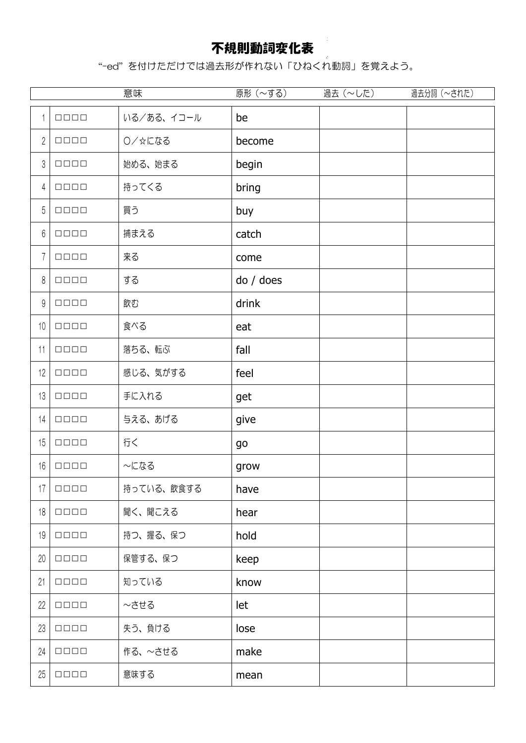## 不規則動詞変化表

"-ed" を付けただけでは過去形が作れない「ひねくれ動詞」を覚えよう。

|                |                             | 意味         | 原形 (~する)  | 過去 (~した) | 過去分詞(~された) |
|----------------|-----------------------------|------------|-----------|----------|------------|
| $\mathbf{1}$   | $\Box \Box \Box \Box$       | いる/ある、イコール | be        |          |            |
| $\sqrt{2}$     | $\Box\Box\Box\Box$          | ○/☆になる     | become    |          |            |
| 3              | $\Box$                      | 始める、始まる    | begin     |          |            |
| 4              | $\Box \Box \Box \Box$       | 持ってくる      | bring     |          |            |
| 5              | $\Box$                      | 買う         | buy       |          |            |
| 6              | $\Box\Box\Box\Box$          | 捕まえる       | catch     |          |            |
| $\overline{1}$ | $\Box\,\Box\,\Box\,\Box$    | 来る         | come      |          |            |
| 8              | $\Box\,\Box\,\Box\,\Box$    | する         | do / does |          |            |
| 9              | $\Box\,\Box\,\Box\,\Box$    | 飲む         | drink     |          |            |
| 10             | $\Box \Box \Box \Box$       | 食べる        | eat       |          |            |
| 11             | $\Box\Box\Box\Box$          | 落ちる、転ぶ     | fall      |          |            |
| 12             | $\Box\Box\Box\Box$          | 感じる、気がする   | feel      |          |            |
| 13             | $\Box \Box \Box \Box$       | 手に入れる      | get       |          |            |
| 14             | $\Box \Box \Box \Box$       | 与える、あげる    | give      |          |            |
| 15             | $\Box \Box \Box \Box$       | 行く         | go        |          |            |
| 16             | $\Box\,\Box\,\Box\,\Box$    | ~になる       | grow      |          |            |
| 17             | $\Box$                      | 持っている、飲食する | have      |          |            |
| 18             | $\Box \Box \Box \Box$       | 聞く、聞こえる    | hear      |          |            |
| 19             | $\Box \Box \Box \Box$       | 持つ、握る、保つ   | hold      |          |            |
| 20             | $\Box\Box\Box\Box$          | 保管する、保つ    | keep      |          |            |
| 21             | $\Box \Box \Box \Box$       | 知っている      | know      |          |            |
| 22             | $\Box \Box \Box \Box$       | $\sim$ させる | let       |          |            |
| 23             | $\Box \Box \Box \Box$       | 失う、負ける     | lose      |          |            |
| 24             | $\Box\Box\Box\Box$          | 作る、~させる    | make      |          |            |
| 25             | $\Box$ $\Box$ $\Box$ $\Box$ | 意味する       | mean      |          |            |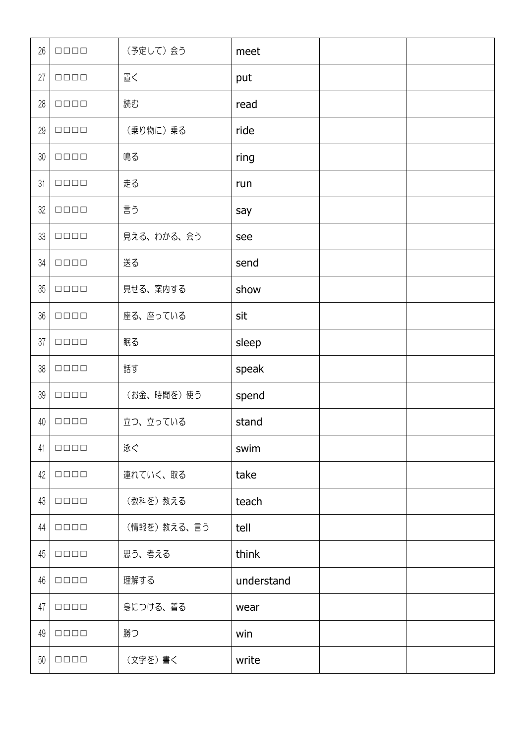| 26 | $\Box\,\Box\,\Box\,\Box$ | (予定して)会う    | meet       |  |
|----|--------------------------|-------------|------------|--|
| 27 | $\Box\,\Box\,\Box\,\Box$ | 置く          | put        |  |
| 28 | $\Box \Box \Box \Box$    | 読む          | read       |  |
| 29 | $\Box\,\Box\,\Box\,\Box$ | (乗り物に)乗る    | ride       |  |
| 30 | $\Box \Box \Box \Box$    | 鳴る          | ring       |  |
| 31 | $\Box \Box \Box \Box$    | 走る          | run        |  |
| 32 | $\Box \Box \Box \Box$    | 言う          | say        |  |
| 33 | $\Box\,\Box\,\Box\,\Box$ | 見える、わかる、会う  | see        |  |
| 34 | $\Box\,\Box\,\Box\,\Box$ | 送る          | send       |  |
| 35 | $\Box \Box \Box \Box$    | 見せる、案内する    | show       |  |
| 36 | $\Box \Box \Box \Box$    | 座る、座っている    | sit        |  |
| 37 | $\Box \Box \Box \Box$    | 眠る          | sleep      |  |
| 38 | $\Box \Box \Box \Box$    | 話す          | speak      |  |
| 39 | $\Box \Box \Box \Box$    | (お金、時間を)使う  | spend      |  |
| 40 | $\Box$                   | 立つ、立っている    | stand      |  |
| 41 | $\Box \Box \Box \Box$    | 泳ぐ          | swim       |  |
| 42 | $\Box \Box \Box \Box$    | 連れていく、取る    | take       |  |
| 43 | $\Box \Box \Box \Box$    | (教科を)教える    | teach      |  |
| 44 | $\Box \Box \Box \Box$    | (情報を)教える、言う | tell       |  |
| 45 | $\Box \Box \Box \Box$    | 思う、考える      | think      |  |
| 46 | $\Box \Box \Box \Box$    | 理解する        | understand |  |
| 47 | $\Box \Box \Box \Box$    | 身につける、着る    | wear       |  |
| 49 | $\Box \Box \Box \Box$    | 勝つ          | win        |  |
| 50 | $\Box \Box \Box \Box$    | (文字を)書く     | write      |  |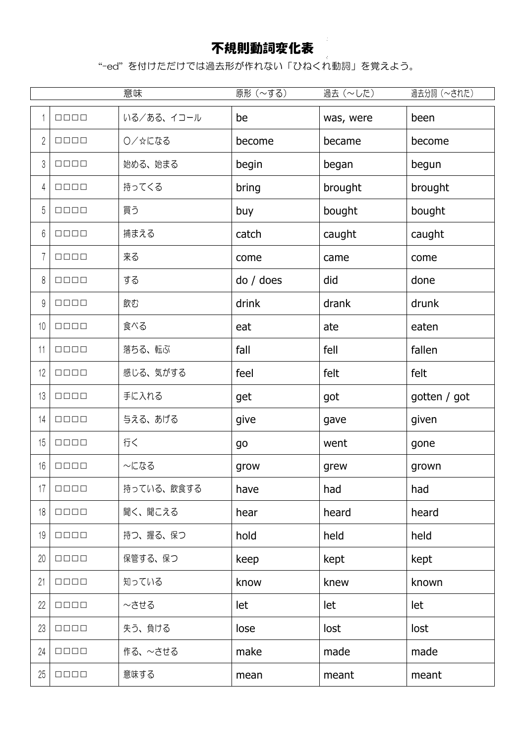## 不規則動詞変化表

"-ed" を付けただけでは過去形が作れない「ひねくれ動詞」を覚えよう。

|                |                          | 意味         | 原形 (~する)  | 過去 (~した)  | 過去分詞 (~された)  |
|----------------|--------------------------|------------|-----------|-----------|--------------|
| $\mathbf{1}$   | $\Box \Box \Box \Box$    | いる/ある、イコール | be        | was, were | been         |
| $\mathbf 2$    | $\Box \Box \Box \Box$    | ○/☆になる     | become    | became    | become       |
| 3              | $\Box$                   | 始める、始まる    | begin     | began     | begun        |
| 4              | $\Box\,\Box\,\Box\,\Box$ | 持ってくる      | bring     | brought   | brought      |
| 5              | $\Box\,\Box\,\Box\,\Box$ | 買う         | buy       | bought    | bought       |
| 6              | $\Box \Box \Box \Box$    | 捕まえる       | catch     | caught    | caught       |
| $\overline{1}$ | $\Box \Box \Box \Box$    | 来る         | come      | came      | come         |
| 8              | $\Box\,\Box\,\Box\,\Box$ | する         | do / does | did       | done         |
| 9              | $\Box\,\Box\,\Box\,\Box$ | 飲む         | drink     | drank     | drunk        |
| 10             | $\Box \Box \Box \Box$    | 食べる        | eat       | ate       | eaten        |
| 11             | $\Box \Box \Box \Box$    | 落ちる、転ぶ     | fall      | fell      | fallen       |
| 12             | $\Box \Box \Box \Box$    | 感じる、気がする   | feel      | felt      | felt         |
| 13             | $\Box\,\Box\,\Box\,\Box$ | 手に入れる      | get       | got       | gotten / got |
| 14             | $\Box \Box \Box \Box$    | 与える、あげる    | give      | gave      | given        |
| 15             | $\Box \Box \Box \Box$    | 行く         | go        | went      | gone         |
| 16             | $\Box\,\Box\,\Box\,\Box$ | ~になる       | grow      | grew      | grown        |
| 17             | $\Box$                   | 持っている、飲食する | have      | had       | had          |
| 18             | $\Box \Box \Box \Box$    | 聞く、聞こえる    | hear      | heard     | heard        |
| 19             | $\Box \Box \Box \Box$    | 持つ、握る、保つ   | hold      | held      | held         |
| 20             | $\Box \Box \Box \Box$    | 保管する、保つ    | keep      | kept      | kept         |
| 21             | $\Box$                   | 知っている      | know      | knew      | known        |
| 22             | $\Box \Box \Box \Box$    | ~させる       | let       | let       | let          |
| 23             | $\Box \Box \Box \Box$    | 失う、負ける     | lose      | lost      | lost         |
| 24             | $\Box \Box \Box \Box$    | 作る、~させる    | make      | made      | made         |
| 25             | $\Box \Box \Box \Box$    | 意味する       | mean      | meant     | meant        |